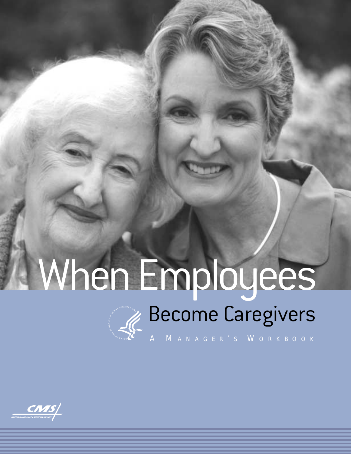# Become Caregivers When Employees

A M ANAGER ' S W ORKBOOK

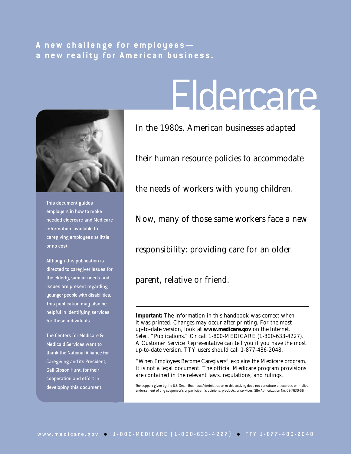# **A new challenge for employees a new reality for American business.**



This document guides employers in how to make needed eldercare and Medicare information available to caregiving employees at little or no cost.

Although this publication is directed to caregiver issues for the elderly, similar needs and issues are present regarding younger people with disabilities. This publication may also be helpful in identifying services for these individuals.

The Centers for Medicare & Medicaid Services want to thank the National Alliance for Caregiving and its President, Gail Gibson Hunt, for their cooperation and effort in developing this document.

# Eldercare

In the 1980s, American businesses adapted

their human resource policies to accommodate

the needs of workers with young children.

Now, many of those same workers face a new

responsibility: providing care for an older

parent, relative or friend.

**Important:** The information in this handbook was correct when it was printed. Changes may occur after printing. For the most up-to-date version, look at **www.medicare.gov** on the Internet. Select "Publications." Or call 1-800-MEDICARE (1-800-633-4227). A Customer Service Representative can tell you if you have the most up-to-date version. TTY users should call 1-877-486-2048.

"When Employees Become Caregivers" explains the Medicare program. It is not a legal document. The official Medicare program provisions are contained in the relevant laws, regulations, and rulings.

The support given by the U.S. Small Business Administration to this activity does not constitute an express or implied endorsement of any cosponsor's or participant's opinions, products, or services. SBA Authorization No. 02-7630-56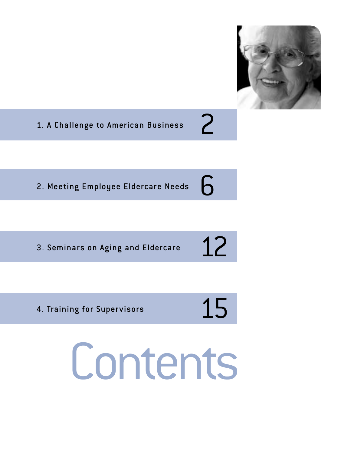

1. A Challenge to American Business

6 2. Meeting Employee Eldercare Needs

3. Seminars on Aging and Eldercare

# 12

2

4. Training for Supervisors

# 15 Contents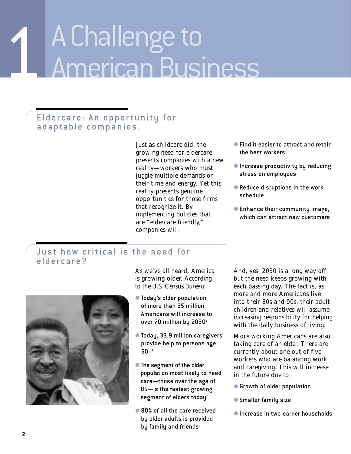# 1 A Challenge to American Business

# Eldercare: An opportunity for adaptable companies.

Just as childcare did, the growing need for eldercare presents companies with a new reality—workers who must juggle multiple demands on their time and energy. Yet this reality presents genuine opportunities for those firms that recognize it. By implementing policies that are "eldercare friendly," companies will:

- Find it easier to attract and retain the best workers
- Increase productivity by reducing stress on employees
- Reduce disruptions in the work schedule
- Enhance their community image, which can attract new customers

# Just how critical is the need for eldercare?



As we've all heard, America is growing older. According to the U.S. Census Bureau:

- Today's older population of more than 35 million Americans will increase to over 70 million by 2030<sup>1</sup>
- Today, 33.9 million caregivers provide help to persons age  $50+2$
- The segment of the older population most likely to need care—those over the age of 85—is the fastest growing segment of elders today<sup>3</sup>
- 80% of all the care received by older adults is provided by family and friends<sup>4</sup>

And, yes, 2030 is a long way off, but the need keeps growing with each passing day. The fact is, as more and more Americans live into their 80s and 90s, their adult children and relatives will assume increasing responsibility for helping with the daily business of living.

More working Americans are also taking care of an elder. There are currently about one out of five workers who are balancing work and caregiving. This will increase in the future due to:

- Growth of older population
- Smaller family size
- Increase in two-earner households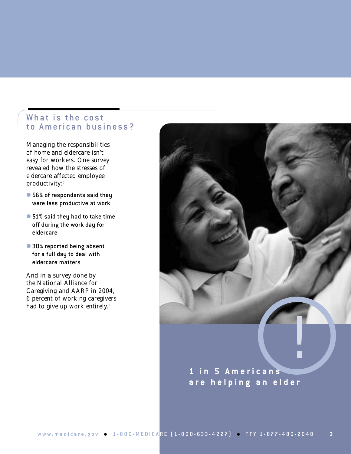# What is the cost to American business?

Managing the responsibilities of home and eldercare isn't easy for workers. One survey revealed how the stresses of eldercare affected employee productivity:<sup>5</sup>

- 56% of respondents said they were less productive at work
- 51% said they had to take time off during the work day for eldercare
- 30% reported being absent for a full day to deal with eldercare matters

And in a survey done by the National Alliance for Caregiving and AARP in 2004, 6 percent of working caregivers had to give up work entirely.<sup>6</sup>

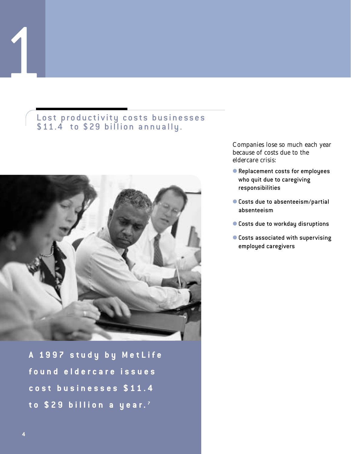# Lost productivity costs businesses \$11.4 to \$29 billion annually.



**A 1997 study by MetLife found eldercare issues cost businesses \$11.4 to \$29 billion a year. <sup>7</sup>**

Companies lose so much each year because of costs due to the eldercare crisis:

- Replacement costs for employees who quit due to caregiving responsibilities
- Costs due to absenteeism/partial absenteeism
- Costs due to workday disruptions
- Costs associated with supervising employed caregivers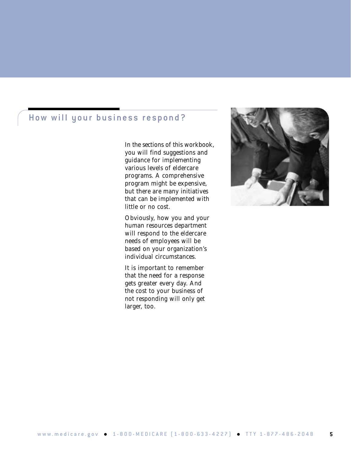# How will your business respond?

In the sections of this workbook, you will find suggestions and guidance for implementing various levels of eldercare programs. A comprehensive program might be expensive, but there are many initiatives that can be implemented with little or no cost.

Obviously, how you and your human resources department will respond to the eldercare needs of employees will be based on your organization's individual circumstances.

It is important to remember that the need for a response gets greater every day. And the cost to your business of not responding will only get larger, too.

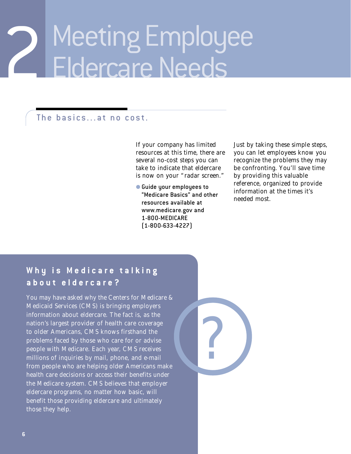# 2 Meeting Employee Eldercare Needs

# The basics...at no cost.

If your company has limited resources at this time, there are several no-cost steps you can take to indicate that eldercare is now on your "radar screen."

● Guide your employees to "Medicare Basics" and other resources available at www.medicare.gov and 1-800-MEDICARE (1-800-633-4227)

Just by taking these simple steps, you can let employees know you recognize the problems they may be confronting. You'll save time by providing this valuable reference, organized to provide information at the times it's needed most.

# **Why is Medicare talking about eldercare?**

You may have asked why the Centers for Medicare & Medicaid Services (CMS) is bringing employers information about eldercare. The fact is, as the nation's largest provider of health care coverage to older Americans, CMS knows firsthand the problems faced by those who care for or advise people with Medicare. Each year, CMS receives millions of inquiries by mail, phone, and e-mail from people who are helping older Americans make health care decisions or access their benefits under the Medicare system. CMS believes that employer eldercare programs, no matter how basic, will benefit those providing eldercare and ultimately those they help.

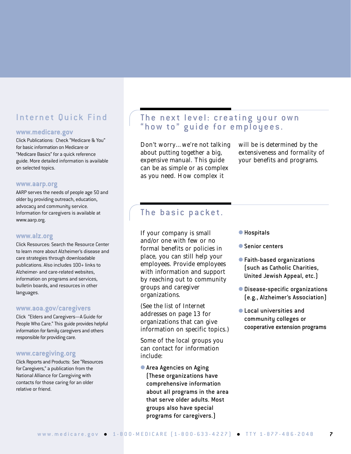# Internet Quick Find

#### **www.medicare.gov**

Click Publications: Check "Medicare & You" for basic information on Medicare or "Medicare Basics" for a quick reference guide. More detailed information is available on selected topics.

#### **www.aarp.org**

AARP serves the needs of people age 50 and older by providing outreach, education, advocacy and community service. Information for caregivers is available at www.aarp.org.

#### **www.alz.org**

Click Resources: Search the Resource Center to learn more about Alzheimer's disease and care strategies through downloadable publications. Also includes 100+ links to Alzheimer- and care-related websites, information on programs and services, bulletin boards, and resources in other languages.

#### **www.aoa.gov/caregivers**

Click "Elders and Caregivers—A Guide for People Who Care." This guide provides helpful information for family caregivers and others responsible for providing care.

#### **www.caregiving.org**

Click Reports and Products: See "Resources for Caregivers," a publication from the National Alliance for Caregiving with contacts for those caring for an older relative or friend.

# The next level: creating your own "how to" guide for employees.

Don't worry…we're not talking about putting together a big, expensive manual. This guide can be as simple or as complex as you need. How complex it

will be is determined by the extensiveness and formality of your benefits and programs.

# The basic packet.

If your company is small and/or one with few or no formal benefits or policies in place, you can still help your employees. Provide employees with information and support by reaching out to community groups and caregiver organizations.

(See the list of Internet addresses on page 13 for organizations that can give information on specific topics.)

Some of the local groups you can contact for information include:

● Area Agencies on Aging (These organizations have comprehensive information about all programs in the area that serve older adults. Most groups also have special programs for caregivers.)

- Hospitals
- Senior centers
- Faith-based organizations (such as Catholic Charities, United Jewish Appeal, etc.)
- Disease-specific organizations (e.g., Alzheimer's Association)
- Local universities and community colleges or cooperative extension programs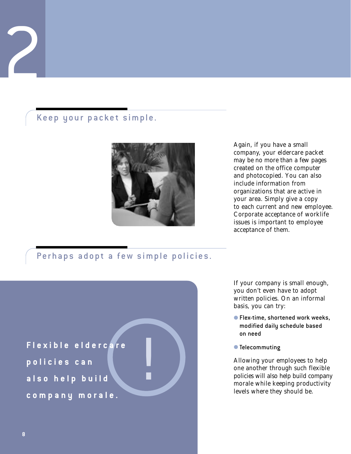# Keep your packet simple.



Again, if you have a small company, your eldercare packet may be no more than a few pages created on the office computer and photocopied. You can also include information from organizations that are active in your area. Simply give a copy to each current and new employee. Corporate acceptance of worklife issues is important to employee acceptance of them.

# Perhaps adopt a few simple policies.



If your company is small enough, you don't even have to adopt written policies. On an informal basis, you can try:

- Flex-time, shortened work weeks, modified daily schedule based on need
- Telecommuting

Allowing your employees to help one another through such flexible policies will also help build company morale while keeping productivity levels where they should be.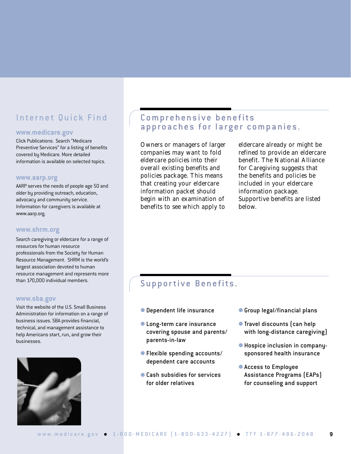# Internet Quick Find

#### **www.medicare.gov**

Click Publications: Search "Medicare Preventive Services" for a listing of benefits covered by Medicare. More detailed information is available on selected topics.

#### **www.aarp.org**

AARP serves the needs of people age 50 and older by providing outreach, education, advocacy and community service. Information for caregivers is available at www.aarp.org.

#### **www.shrm.org**

Search caregiving or eldercare for a range of resources for human resource professionals from the Society for Human Resource Management. SHRM is the world's largest association devoted to human resource management and represents more than 170,000 individual members.

#### **www.sba.gov**

Visit the website of the U.S. Small Business Administration for information on a range of business issues. SBA provides financial, technical, and management assistance to help Americans start, run, and grow their businesses.



# Comprehensive benefits approaches for larger companies.

Owners or managers of larger companies may want to fold eldercare policies into their overall existing benefits and policies package. This means that creating your eldercare information packet should begin with an examination of benefits to see which apply to

eldercare already or might be refined to provide an eldercare benefit. The National Alliance for Caregiving suggests that the benefits and policies be included in your eldercare information package. Supportive benefits are listed below.

# Supportive Benefits.

- Dependent life insurance
- Long-term care insurance covering spouse and parents/ parents-in-law
- Flexible spending accounts/ dependent care accounts
- Cash subsidies for services for older relatives
- Group legal/financial plans
- Travel discounts (can help with long-distance caregiving)
- Hospice inclusion in companysponsored health insurance
- Access to Employee Assistance Programs (EAPs) for counseling and support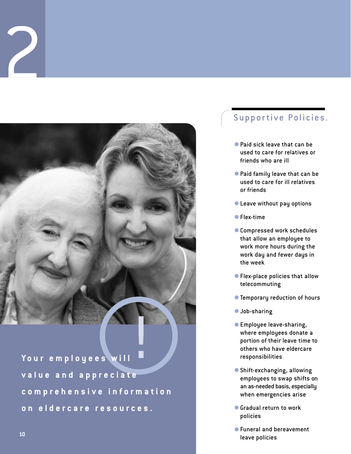

**Your employees will** ! **value and appreciate comprehensive information on eldercare resources.**

# Supportive Policies.

- Paid sick leave that can be used to care for relatives or friends who are ill
- Paid family leave that can be used to care for ill relatives or friends
- Leave without pay options
- Flex-time
- Compressed work schedules that allow an employee to work more hours during the work day and fewer days in the week
- Flex-place policies that allow telecommuting
- Temporary reduction of hours
- Job-sharing
- Employee leave-sharing, where employees donate a portion of their leave time to others who have eldercare responsibilities
- Shift-exchanging, allowing employees to swap shifts on an as-needed basis, especially when emergencies arise
- Gradual return to work policies
- Funeral and bereavement leave policies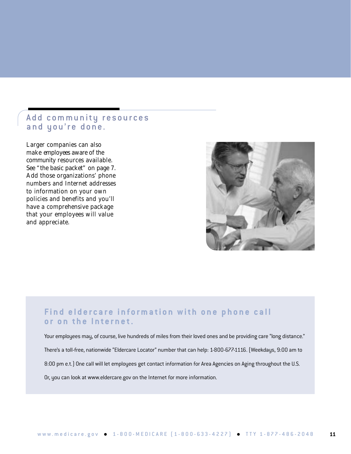# Add community resources and you're done.

Larger companies can also make employees aware of the community resources available. See "the basic packet" on page 7. Add those organizations' phone numbers and Internet addresses to information on your own policies and benefits and you'll have a comprehensive package that your employees will value and appreciate.



# **Find eldercare information with one phone call or on the Internet.**

Your employees may, of course, live hundreds of miles from their loved ones and be providing care "long distance." There's a toll-free, nationwide "Eldercare Locator" number that can help: 1-800-677-1116. (Weekdays, 9:00 am to 8:00 pm e.t.) One call will let employees get contact information for Area Agencies on Aging throughout the U.S. Or, you can look at www.eldercare.gov on the Internet for more information.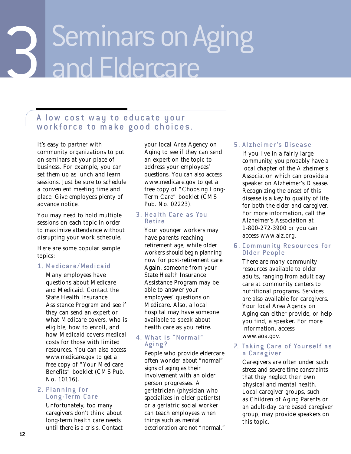# 3 Seminars on Aging<br>3 and Eldercare and Eldercare

# A low cost way to educate your workforce to make good choices.

It's easy to partner with community organizations to put on seminars at your place of business. For example, you can set them up as lunch and learn sessions. Just be sure to schedule a convenient meeting time and place. Give employees plenty of advance notice.

You may need to hold multiple sessions on each topic in order to maximize attendance without disrupting your work schedule.

Here are some popular sample topics:

### 1. Medicare/Medicaid

Many employees have questions about Medicare and Medicaid. Contact the State Health Insurance Assistance Program and see if they can send an expert or what Medicare covers, who is eligible, how to enroll, and how Medicaid covers medical costs for those with limited resources. You can also access www.medicare.gov to get a free copy of "Your Medicare Benefits" booklet (CMS Pub. No. 10116).

### 2. Planning for Long-Term Care

Unfortunately, too many caregivers don't think about long-term health care needs until there is a crisis. Contact your local Area Agency on Aging to see if they can send an expert on the topic to address your employees' questions. You can also access www.medicare.gov to get a free copy of "Choosing Long-Term Care" booklet (CMS Pub. No. 02223).

#### 3. Health Care as You Retire

Your younger workers may have parents reaching retirement age, while older workers should begin planning now for post-retirement care. Again, someone from your State Health Insurance Assistance Program may be able to answer your employees' questions on Medicare. Also, a local hospital may have someone available to speak about health care as you retire.

## 4. What is "Normal" Aging?

People who provide eldercare often wonder about "normal" signs of aging as their involvement with an older person progresses. A geriatrician (physician who specializes in older patients) or a geriatric social worker can teach employees when things such as mental deterioration are not "normal."

## 5. Alzheimer's Disease

If you live in a fairly large community, you probably have a local chapter of the Alzheimer's Association which can provide a speaker on Alzheimer's Disease. Recognizing the onset of this disease is a key to quality of life for both the elder and caregiver. For more information, call the Alzheimer's Association at 1-800-272-3900 or you can access www.alz.org.

#### 6. Community Resources for Older People

There are many community resources available to older adults, ranging from adult day care at community centers to nutritional programs. Services are also available for caregivers. Your local Area Agency on Aging can either provide, or help you find, a speaker. For more information, access www.aoa.gov.

### 7. Taking Care of Yourself as a Caregiver

Caregivers are often under such stress and severe time constraints that they neglect their own physical and mental health. Local caregiver groups, such as Children of Aging Parents or an adult-day care based caregiver group, may provide speakers on this topic.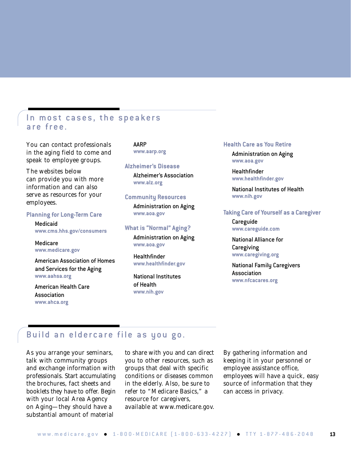# In most cases, the speakers are free.

You can contact professionals in the aging field to come and speak to employee groups.

The websites below can provide you with more information and can also serve as resources for your employees.

#### **Planning for Long-Term Care**

Medicaid **www.cms.hhs.gov/consumers**

Medicare **www.medicare.gov**

American Association of Homes and Services for the Aging **www.aahsa.org**

American Health Care Association **www.ahca.org**

#### AARP **www.aarp.org**

#### **Alzheimer's Disease**

Alzheimer's Association **www.alz.org**

#### **Community Resources**

Administration on Aging **www.aoa.gov**

#### **What is "Normal" Aging?**

Administration on Aging **www.aoa.gov**

**Healthfinder www.healthfinder.gov**

National Institutes of Health **www.nih.gov**

#### **Health Care as You Retire**

Administration on Aging **www.aoa.gov**

Healthfinder **www.healthfinder.gov**

National Institutes of Health **www.nih.gov**

#### **Taking Care of Yourself as a Caregiver**

Careguide **www.careguide.com**

National Alliance for Caregiving **www.caregiving.org**

National Family Caregivers Association **www.nfcacares.org**

# Build an eldercare file as you go.

As you arrange your seminars, talk with community groups and exchange information with professionals. Start accumulating the brochures, fact sheets and booklets they have to offer. Begin with your local Area Agency on Aging—they should have a substantial amount of material

to share with you and can direct you to other resources, such as groups that deal with specific conditions or diseases common in the elderly. Also, be sure to refer to "Medicare Basics," a resource for caregivers, available at www.medicare.gov. By gathering information and keeping it in your personnel or employee assistance office, employees will have a quick, easy source of information that they can access in privacy.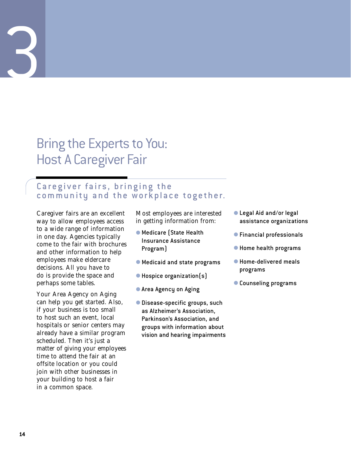# Bring the Experts to You: Host A Caregiver Fair

# Caregiver fairs, bringing the community and the workplace together.

Caregiver fairs are an excellent way to allow employees access to a wide range of information in one day. Agencies typically come to the fair with brochures and other information to help employees make eldercare decisions. All you have to do is provide the space and perhaps some tables.

Your Area Agency on Aging can help you get started. Also, if your business is too small to host such an event, local hospitals or senior centers may already have a similar program scheduled. Then it's just a matter of giving your employees time to attend the fair at an offsite location or you could join with other businesses in your building to host a fair in a common space.

Most employees are interested in getting information from:

- Medicare (State Health Insurance Assistance Program)
- Medicaid and state programs
- Hospice organization(s)
- Area Agency on Aging
- Disease-specific groups, such as Alzheimer's Association, Parkinson's Association, and groups with information about vision and hearing impairments
- Legal Aid and/or legal assistance organizations
- Financial professionals
- Home health programs
- Home-delivered meals programs
- Counseling programs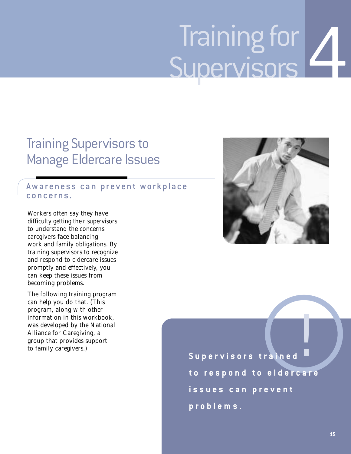# 4 Training for Supervisors

# Training Supervisors to Manage Eldercare Issues

# Awareness can prevent workplace concerns.

Workers often say they have difficulty getting their supervisors to understand the concerns caregivers face balancing work and family obligations. By training supervisors to recognize and respond to eldercare issues promptly and effectively, you can keep these issues from becoming problems.

The following training program can help you do that. (This program, along with other information in this workbook, was developed by the National Alliance for Caregiving, a group that provides support to family caregivers.)



**Supervisors trained** ! **to respond to eldercare issues can prevent problems.**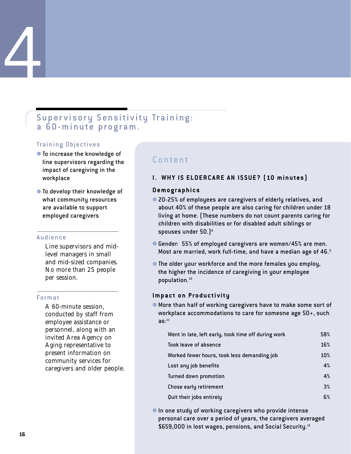# Supervisory Sensitivity Training: a 60-minute program.

## Training Objectives

4

- To increase the knowledge of line supervisors regarding the impact of caregiving in the workplace
- To develop their knowledge of what community resources are available to support employed caregivers

**\_\_\_\_\_\_\_\_\_\_\_\_\_\_\_\_\_\_\_\_\_\_\_\_\_\_\_\_\_\_\_\_\_\_\_\_\_\_\_\_\_\_\_\_\_\_\_\_\_\_\_\_\_\_\_\_\_\_\_\_\_\_\_\_\_\_\_\_\_\_\_\_\_\_\_\_\_\_\_\_\_\_\_\_\_\_\_\_\_\_\_\_\_\_\_\_**

#### Audience

Line supervisors and midlevel managers in small and mid-sized companies. No more than 25 people per session.

**\_\_\_\_\_\_\_\_\_\_\_\_\_\_\_\_\_\_\_\_\_\_\_\_\_\_\_\_\_\_\_\_\_\_\_\_\_\_\_\_\_\_\_\_\_\_\_\_\_\_\_\_\_\_\_\_\_\_\_\_\_\_\_\_\_\_\_\_\_\_\_\_\_\_\_\_\_\_\_\_\_\_\_\_\_\_\_\_\_\_\_\_\_\_\_\_**

#### Format

A 60-minute session, conducted by staff from employee assistance or personnel, along with an invited Area Agency on Aging representative to present information on community services for caregivers and older people.

# Content

## **I. WHY IS ELDERCARE AN ISSUE? (10 minutes)**

#### **Demographics**

- 20-25% of employees are caregivers of elderly relatives, and about 40% of these people are also caring for children under 18 living at home. (These numbers do not count parents caring for children with disabilities or for disabled adult siblings or spouses under 50.)<sup>8</sup>
- Gender: 55% of employed caregivers are women/45% are men. Most are married, work full-time, and have a median age of 46.<sup>9</sup>
- The older your workforce and the more females you employ, the higher the incidence of caregiving in your employee population.10

### **Impact on Productivity**

● More than half of working caregivers have to make some sort of workplace accommodations to care for someone age 50+, such  $as:$ <sup>11</sup>

| Went in late, left early, took time off during work | 58% |
|-----------------------------------------------------|-----|
| Took leave of absence                               | 16% |
| Worked fewer hours, took less demanding job         | 10% |
| Lost any job benefits                               | 4%  |
| Turned down promotion                               | 4%  |
| Chose early retirement                              | 3%  |
| Quit their jobs entirely                            | 6%  |

● In one study of working caregivers who provide intense personal care over a period of years, the caregivers averaged \$659,000 in lost wages, pensions, and Social Security.<sup>12</sup>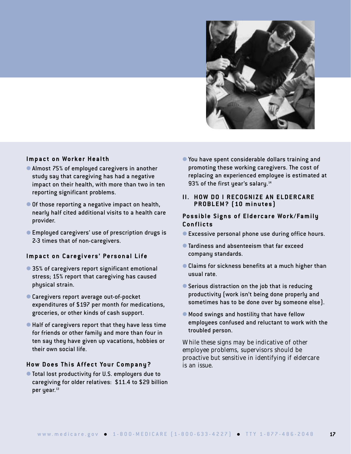

### **Impact on Worker Health**

- Almost 75% of employed caregivers in another study say that caregiving has had a negative impact on their health, with more than two in ten reporting significant problems.
- Of those reporting a negative impact on health, nearly half cited additional visits to a health care provider.
- Employed caregivers' use of prescription drugs is 2-3 times that of non-caregivers.

#### **Impact on Caregivers' Personal Life**

- 35% of caregivers report significant emotional stress; 15% report that caregiving has caused physical strain.
- Caregivers report average out-of-pocket expenditures of \$197 per month for medications, groceries, or other kinds of cash support.
- Half of caregivers report that they have less time for friends or other family and more than four in ten say they have given up vacations, hobbies or their own social life.

#### **How Does This Affect Your Company?**

● Total lost productivity for U.S. employers due to caregiving for older relatives: \$11.4 to \$29 billion per year.<sup>13</sup>

● You have spent considerable dollars training and promoting these working caregivers. The cost of replacing an experienced employee is estimated at 93% of the first year's salary.<sup>14</sup>

#### **II. HOW DO I RECOGNIZE AN ELDERCARE PROBLEM? (10 minutes)**

#### **Possible Signs of Eldercare Work/Family Conflicts**

- Excessive personal phone use during office hours.
- Tardiness and absenteeism that far exceed company standards.
- Claims for sickness benefits at a much higher than usual rate.
- Serious distraction on the job that is reducing productivity (work isn't being done properly and sometimes has to be done over by someone else).
- Mood swings and hostility that have fellow employees confused and reluctant to work with the troubled person.

While these signs may be indicative of other employee problems, supervisors should be proactive but sensitive in identifying if eldercare is an issue.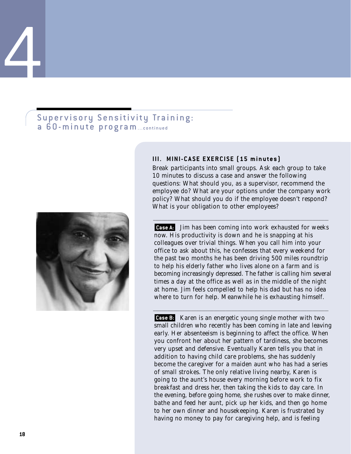# Supervisory Sensitivity Training: a 60-minute program...continued



#### **III. MINI-CASE EXERCISE (15 minutes)**

Break participants into small groups. Ask each group to take 10 minutes to discuss a case and answer the following questions: What should you, as a supervisor, recommend the employee do? What are your options under the company work policy? What should you do if the employee doesn't respond? What is your obligation to other employees?

**\_\_\_\_\_\_\_\_\_\_\_\_\_\_\_\_\_\_\_\_\_\_\_\_\_\_\_\_\_\_\_\_\_\_\_\_\_\_\_\_\_\_\_\_\_\_\_\_\_\_\_\_\_\_\_\_\_\_\_\_\_\_\_\_\_\_\_\_\_\_\_\_\_\_\_\_\_\_\_\_\_\_\_\_\_\_\_\_\_\_\_\_\_\_\_\_\_\_\_\_\_\_\_\_\_\_\_\_\_\_\_\_\_\_\_\_\_\_\_\_\_\_\_\_\_\_\_\_\_\_\_\_\_\_\_\_\_\_\_\_\_\_\_\_\_\_\_\_\_\_\_\_\_\_\_\_\_\_\_\_\_\_\_\_\_\_\_\_\_\_\_\_\_\_\_\_\_\_\_\_\_\_\_\_\_\_\_\_\_\_\_\_\_\_\_\_\_\_\_\_\_\_\_\_\_\_\_\_**

Jim has been coming into work exhausted for weeks **Case A:** now. His productivity is down and he is snapping at his colleagues over trivial things. When you call him into your office to ask about this, he confesses that every weekend for the past two months he has been driving 500 miles roundtrip to help his elderly father who lives alone on a farm and is becoming increasingly depressed. The father is calling him several times a day at the office as well as in the middle of the night at home. Jim feels compelled to help his dad but has no idea where to turn for help. Meanwhile he is exhausting himself.

**\_\_\_\_\_\_\_\_\_\_\_\_\_\_\_\_\_\_\_\_\_\_\_\_\_\_\_\_\_\_\_\_\_\_\_\_\_\_\_\_\_\_\_\_\_\_\_\_\_\_\_\_\_\_\_\_\_\_\_\_\_\_\_\_\_\_\_\_\_\_\_\_\_\_\_\_\_\_\_\_\_\_\_\_\_\_\_\_\_\_\_\_\_\_\_\_\_\_\_\_\_\_\_\_\_\_\_\_\_\_\_\_\_\_\_\_\_\_\_\_\_\_\_\_\_\_\_\_\_\_\_\_\_\_\_\_\_\_\_\_\_\_\_\_\_\_\_\_\_\_\_\_\_\_\_\_\_\_\_\_\_\_\_\_\_\_\_\_\_\_\_\_\_\_\_\_\_\_\_\_\_\_\_\_\_\_\_\_\_\_\_\_\_\_\_\_\_\_\_\_\_\_\_\_\_\_\_\_**

Karen is an energetic young single mother with two **Case B:** small children who recently has been coming in late and leaving early. Her absenteeism is beginning to affect the office. When you confront her about her pattern of tardiness, she becomes very upset and defensive. Eventually Karen tells you that in addition to having child care problems, she has suddenly become the caregiver for a maiden aunt who has had a series of small strokes. The only relative living nearby, Karen is going to the aunt's house every morning before work to fix breakfast and dress her, then taking the kids to day care. In the evening, before going home, she rushes over to make dinner, bathe and feed her aunt, pick up her kids, and then go home to her own dinner and housekeeping. Karen is frustrated by having no money to pay for caregiving help, and is feeling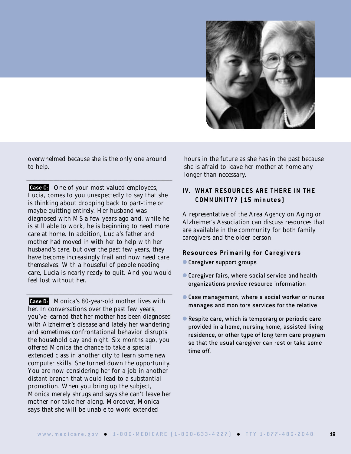

overwhelmed because she is the only one around to help.

**\_\_\_\_\_\_\_\_\_\_\_\_\_\_\_\_\_\_\_\_\_\_\_\_\_\_\_\_\_\_\_\_\_\_\_\_\_\_\_\_\_\_\_\_\_\_\_\_\_\_\_\_\_\_\_\_\_\_\_\_\_\_\_\_\_\_\_\_\_\_\_\_\_\_\_\_\_\_\_\_\_\_\_\_\_\_\_\_\_\_\_\_\_\_\_\_\_\_\_\_\_\_\_\_\_\_\_\_\_\_\_\_\_\_\_\_\_\_\_\_\_\_\_\_\_\_\_\_\_\_\_\_\_\_\_\_\_\_\_\_\_\_\_\_\_\_\_\_\_\_\_\_\_\_\_\_\_\_\_\_\_\_\_\_\_\_\_\_\_\_\_\_\_**

**Case C:** One of your most valued employees, Lucia, comes to you unexpectedly to say that she is thinking about dropping back to part-time or maybe quitting entirely. Her husband was diagnosed with MS a few years ago and, while he is still able to work, he is beginning to need more care at home. In addition, Lucia's father and mother had moved in with her to help with her husband's care, but over the past few years, they have become increasingly frail and now need care themselves. With a houseful of people needing care, Lucia is nearly ready to quit. And you would feel lost without her.

**\_\_\_\_\_\_\_\_\_\_\_\_\_\_\_\_\_\_\_\_\_\_\_\_\_\_\_\_\_\_\_\_\_\_\_\_\_\_\_\_\_\_\_\_\_\_\_\_\_\_\_\_\_\_\_\_\_\_\_\_\_\_\_\_\_\_\_\_\_\_\_\_\_\_\_\_\_\_\_\_\_\_\_\_\_\_\_\_\_\_\_\_\_\_\_\_\_\_\_\_\_\_\_\_\_\_\_\_\_\_\_\_\_\_\_\_\_\_\_\_\_\_\_\_\_\_\_\_\_\_\_\_\_\_\_\_\_\_\_\_\_\_\_\_\_\_\_\_\_\_\_\_\_\_\_\_\_\_\_\_\_\_\_\_\_\_\_\_\_\_\_\_\_**

Monica's 80-year-old mother lives with **Case D:** her. In conversations over the past few years, you've learned that her mother has been diagnosed with Alzheimer's disease and lately her wandering and sometimes confrontational behavior disrupts the household day and night. Six months ago, you offered Monica the chance to take a special extended class in another city to learn some new computer skills. She turned down the opportunity. You are now considering her for a job in another distant branch that would lead to a substantial promotion. When you bring up the subject, Monica merely shrugs and says she can't leave her mother nor take her along. Moreover, Monica says that she will be unable to work extended

hours in the future as she has in the past because she is afraid to leave her mother at home any longer than necessary.

# **IV. WHAT RESOURCES ARE THERE IN THE COMMUNIT Y? (15 minutes)**

A representative of the Area Agency on Aging or Alzheimer's Association can discuss resources that are available in the community for both family caregivers and the older person.

### **Resources Primarily for Caregivers**

- Caregiver support groups
- Caregiver fairs, where social service and health organizations provide resource information
- Case management, where a social worker or nurse manages and monitors services for the relative
- Respite care, which is temporary or periodic care provided in a home, nursing home, assisted living residence, or other type of long term care program so that the usual caregiver can rest or take some time off.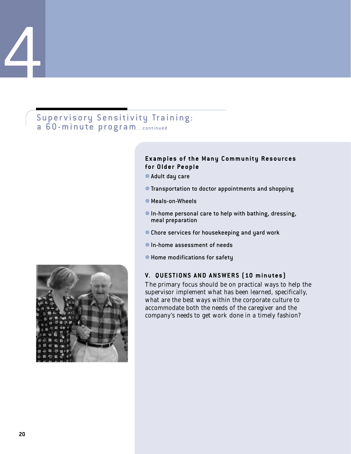# Supervisory Sensitivity Training: a 60-minute program...continued

#### **Examples of the Many Community Resources for Older People**

- Adult day care
- Transportation to doctor appointments and shopping
- Meals-on-Wheels
- In-home personal care to help with bathing, dressing, meal preparation
- Chore services for housekeeping and yard work
- In-home assessment of needs
- Home modifications for safety

#### **V. QUESTIONS AND ANSWERS (10 minutes)**

The primary focus should be on practical ways to help the supervisor implement what has been learned, specifically, what are the best ways within the corporate culture to accommodate both the needs of the caregiver and the company's needs to get work done in a timely fashion?

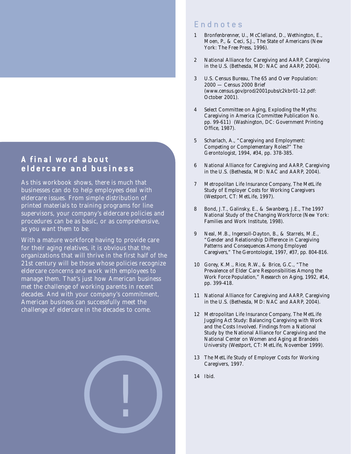# **A final word about eldercare and business**

As this workbook shows, there is much that businesses can do to help employees deal with eldercare issues. From simple distribution of printed materials to training programs for line supervisors, your company's eldercare policies and procedures can be as basic, or as comprehensive, as you want them to be.

With a mature workforce having to provide care for their aging relatives, it is obvious that the organizations that will thrive in the first half of the 21st century will be those whose policies recognize eldercare concerns and work with employees to manage them. That's just how American business met the challenge of working parents in recent decades. And with your company's commitment, American business can successfully meet the challenge of eldercare in the decades to come.



# Endnotes

- 1 Bronfenbrenner, U., McClelland, D., Wethington, E., Moen, P., & Ceci, S.J., *The State of Americans* (New York: The Free Press, 1996).
- 2 National Alliance for Caregiving and AARP, *Caregiving in the U.S.* (Bethesda, MD: NAC and AARP, 2004).
- 3 U.S. Census Bureau, *The 65 and Over Population: 2000 — Census 2000 Brief* (www.census.gov/prod/2001pubs/c2kbr01-12.pdf: October 2001).
- 4 Select Committee on Aging, *Exploding the Myths: Caregiving in America* (Committee Publication No. pp. 99-611) (Washington, DC: Government Printing Office, 1987).
- 5 Scharlach, A., "Caregiving and Employment: Competing or Complementary Roles?" *The Gerontologist,* 1994, #34, pp. 378-385.
- 6 National Alliance for Caregiving and AARP, *Caregiving in the U.S.* (Bethesda, MD: NAC and AARP, 2004).
- 7 Metropolitan Life Insurance Company, *The MetLife Study of Employer Costs for Working Caregivers* (Westport, CT: MetLife, 1997).
- 8 Bond, J.T., Galinsky, E., & Swanberg, J.E., *The 1997 National Study of the Changing Workforce* (New York: Families and Work Institute, 1998).
- 9 Neal, M.B., Ingersoll-Dayton, B., & Starrels, M.E., "Gender and Relationship Difference in Caregiving Patterns and Consequences Among Employed Caregivers," *The Gerontologist,* 1997, #37, pp. 804-816.
- 10 Gorey, K.M., Rice, R.W., & Brice, G.C., "The Prevalence of Elder Care Responsibilities Among the Work Force Population," *Research on Aging,* 1992, #14, pp. 399-418.
- 11 National Alliance for Caregiving and AARP, *Caregiving in the U.S.* (Bethesda, MD: NAC and AARP, 2004).
- 12 Metropolitan Life Insurance Company, *The MetLife Juggling Act Study: Balancing Caregiving with Work and the Costs Involved. Findings from a National Study by the National Alliance for Caregiving and the National Center on Women and Aging at Brandeis University* (Westport, CT: MetLife, November 1999).
- 13 *The MetLife Study of Employer Costs for Working Caregivers*, 1997.
- 14 *Ibid.*